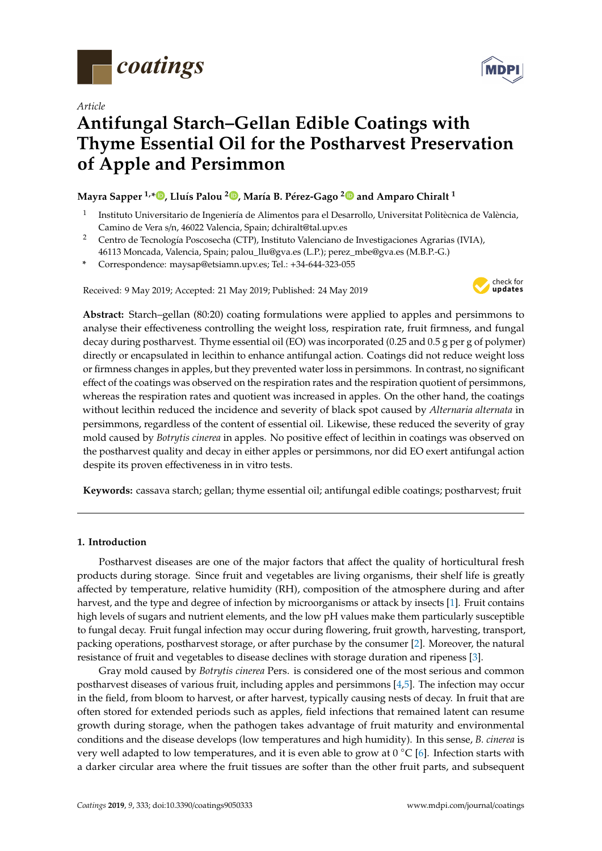

*Article*

# **Antifungal Starch–Gellan Edible Coatings with Thyme Essential Oil for the Postharvest Preservation of Apple and Persimmon**

# **Mayra Sapper 1,[\\*](https://orcid.org/0000-0002-2019-1305) , Lluís Palou <sup>2</sup> [,](https://orcid.org/0000-0002-9385-6814) María B. Pérez-Gago [2](https://orcid.org/0000-0002-2131-6018) and Amparo Chiralt <sup>1</sup>**

- 1 Instituto Universitario de Ingeniería de Alimentos para el Desarrollo, Universitat Politècnica de València, Camino de Vera s/n, 46022 Valencia, Spain; dchiralt@tal.upv.es
- <sup>2</sup> Centro de Tecnología Poscosecha (CTP), Instituto Valenciano de Investigaciones Agrarias (IVIA), 46113 Moncada, Valencia, Spain; palou\_llu@gva.es (L.P.); perez\_mbe@gva.es (M.B.P.-G.)
- **\*** Correspondence: maysap@etsiamn.upv.es; Tel.: +34-644-323-055

Received: 9 May 2019; Accepted: 21 May 2019; Published: 24 May 2019



**Abstract:** Starch–gellan (80:20) coating formulations were applied to apples and persimmons to analyse their effectiveness controlling the weight loss, respiration rate, fruit firmness, and fungal decay during postharvest. Thyme essential oil (EO) was incorporated (0.25 and 0.5 g per g of polymer) directly or encapsulated in lecithin to enhance antifungal action. Coatings did not reduce weight loss or firmness changes in apples, but they prevented water loss in persimmons. In contrast, no significant effect of the coatings was observed on the respiration rates and the respiration quotient of persimmons, whereas the respiration rates and quotient was increased in apples. On the other hand, the coatings without lecithin reduced the incidence and severity of black spot caused by *Alternaria alternata* in persimmons, regardless of the content of essential oil. Likewise, these reduced the severity of gray mold caused by *Botrytis cinerea* in apples. No positive effect of lecithin in coatings was observed on the postharvest quality and decay in either apples or persimmons, nor did EO exert antifungal action despite its proven effectiveness in in vitro tests.

**Keywords:** cassava starch; gellan; thyme essential oil; antifungal edible coatings; postharvest; fruit

# **1. Introduction**

Postharvest diseases are one of the major factors that affect the quality of horticultural fresh products during storage. Since fruit and vegetables are living organisms, their shelf life is greatly affected by temperature, relative humidity (RH), composition of the atmosphere during and after harvest, and the type and degree of infection by microorganisms or attack by insects [\[1\]](#page-12-0). Fruit contains high levels of sugars and nutrient elements, and the low pH values make them particularly susceptible to fungal decay. Fruit fungal infection may occur during flowering, fruit growth, harvesting, transport, packing operations, postharvest storage, or after purchase by the consumer [\[2\]](#page-12-1). Moreover, the natural resistance of fruit and vegetables to disease declines with storage duration and ripeness [\[3\]](#page-12-2).

Gray mold caused by *Botrytis cinerea* Pers. is considered one of the most serious and common postharvest diseases of various fruit, including apples and persimmons [\[4](#page-12-3)[,5\]](#page-12-4). The infection may occur in the field, from bloom to harvest, or after harvest, typically causing nests of decay. In fruit that are often stored for extended periods such as apples, field infections that remained latent can resume growth during storage, when the pathogen takes advantage of fruit maturity and environmental conditions and the disease develops (low temperatures and high humidity). In this sense, *B. cinerea* is very well adapted to low temperatures, and it is even able to grow at 0 ℃ [\[6\]](#page-12-5). Infection starts with a darker circular area where the fruit tissues are softer than the other fruit parts, and subsequent

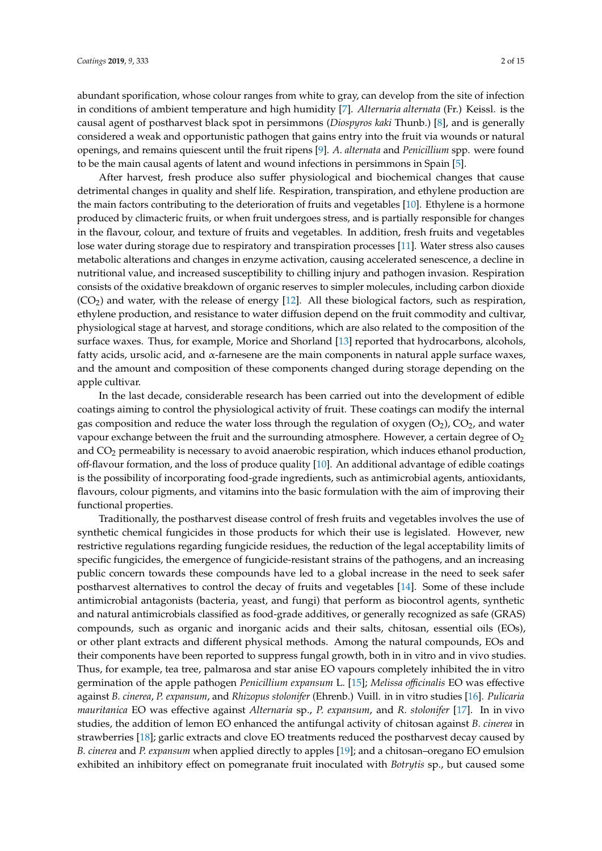abundant sporification, whose colour ranges from white to gray, can develop from the site of infection in conditions of ambient temperature and high humidity [\[7\]](#page-12-6). *Alternaria alternata* (Fr.) Keissl. is the causal agent of postharvest black spot in persimmons (*Diospyros kaki* Thunb.) [\[8\]](#page-12-7), and is generally considered a weak and opportunistic pathogen that gains entry into the fruit via wounds or natural openings, and remains quiescent until the fruit ripens [\[9\]](#page-12-8). *A. alternata* and *Penicillium* spp. were found to be the main causal agents of latent and wound infections in persimmons in Spain [\[5\]](#page-12-4).

After harvest, fresh produce also suffer physiological and biochemical changes that cause detrimental changes in quality and shelf life. Respiration, transpiration, and ethylene production are the main factors contributing to the deterioration of fruits and vegetables [\[10\]](#page-12-9). Ethylene is a hormone produced by climacteric fruits, or when fruit undergoes stress, and is partially responsible for changes in the flavour, colour, and texture of fruits and vegetables. In addition, fresh fruits and vegetables lose water during storage due to respiratory and transpiration processes [\[11\]](#page-12-10). Water stress also causes metabolic alterations and changes in enzyme activation, causing accelerated senescence, a decline in nutritional value, and increased susceptibility to chilling injury and pathogen invasion. Respiration consists of the oxidative breakdown of organic reserves to simpler molecules, including carbon dioxide  $(CO<sub>2</sub>)$  and water, with the release of energy [\[12\]](#page-12-11). All these biological factors, such as respiration, ethylene production, and resistance to water diffusion depend on the fruit commodity and cultivar, physiological stage at harvest, and storage conditions, which are also related to the composition of the surface waxes. Thus, for example, Morice and Shorland [\[13\]](#page-12-12) reported that hydrocarbons, alcohols, fatty acids, ursolic acid, and α-farnesene are the main components in natural apple surface waxes, and the amount and composition of these components changed during storage depending on the apple cultivar.

In the last decade, considerable research has been carried out into the development of edible coatings aiming to control the physiological activity of fruit. These coatings can modify the internal gas composition and reduce the water loss through the regulation of oxygen  $(O_2)$ ,  $CO_2$ , and water vapour exchange between the fruit and the surrounding atmosphere. However, a certain degree of  $O<sub>2</sub>$ and CO<sub>2</sub> permeability is necessary to avoid anaerobic respiration, which induces ethanol production, off-flavour formation, and the loss of produce quality [\[10\]](#page-12-9). An additional advantage of edible coatings is the possibility of incorporating food-grade ingredients, such as antimicrobial agents, antioxidants, flavours, colour pigments, and vitamins into the basic formulation with the aim of improving their functional properties.

Traditionally, the postharvest disease control of fresh fruits and vegetables involves the use of synthetic chemical fungicides in those products for which their use is legislated. However, new restrictive regulations regarding fungicide residues, the reduction of the legal acceptability limits of specific fungicides, the emergence of fungicide-resistant strains of the pathogens, and an increasing public concern towards these compounds have led to a global increase in the need to seek safer postharvest alternatives to control the decay of fruits and vegetables [\[14\]](#page-12-13). Some of these include antimicrobial antagonists (bacteria, yeast, and fungi) that perform as biocontrol agents, synthetic and natural antimicrobials classified as food-grade additives, or generally recognized as safe (GRAS) compounds, such as organic and inorganic acids and their salts, chitosan, essential oils (EOs), or other plant extracts and different physical methods. Among the natural compounds, EOs and their components have been reported to suppress fungal growth, both in in vitro and in vivo studies. Thus, for example, tea tree, palmarosa and star anise EO vapours completely inhibited the in vitro germination of the apple pathogen *Penicillium expansum* L. [\[15\]](#page-12-14); *Melissa o*ffi*cinalis* EO was effective against *B. cinerea*, *P. expansum*, and *Rhizopus stolonifer* (Ehrenb.) Vuill. in in vitro studies [\[16\]](#page-12-15). *Pulicaria mauritanica* EO was effective against *Alternaria* sp., *P. expansum*, and *R. stolonifer* [\[17\]](#page-12-16). In in vivo studies, the addition of lemon EO enhanced the antifungal activity of chitosan against *B. cinerea* in strawberries [\[18\]](#page-13-0); garlic extracts and clove EO treatments reduced the postharvest decay caused by *B. cinerea* and *P. expansum* when applied directly to apples [\[19\]](#page-13-1); and a chitosan–oregano EO emulsion exhibited an inhibitory effect on pomegranate fruit inoculated with *Botrytis* sp., but caused some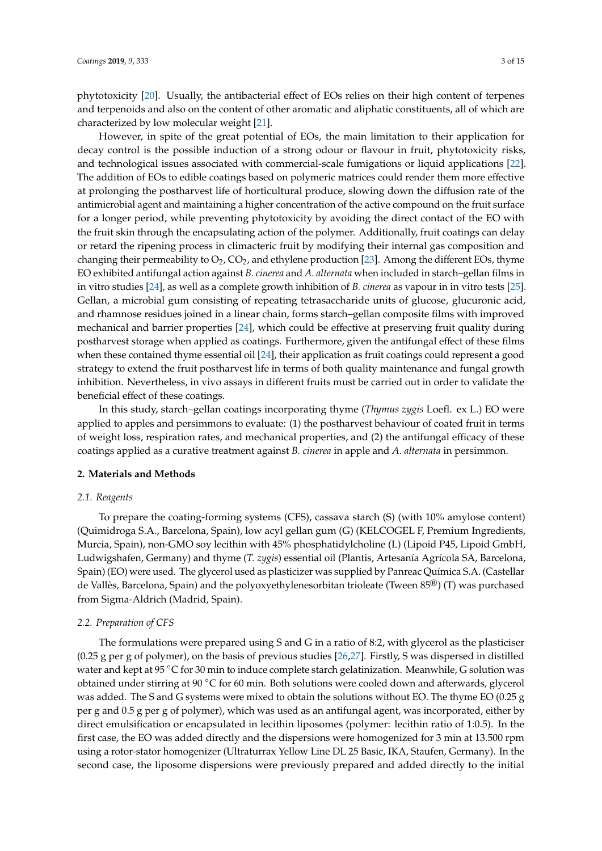phytotoxicity [\[20\]](#page-13-2). Usually, the antibacterial effect of EOs relies on their high content of terpenes and terpenoids and also on the content of other aromatic and aliphatic constituents, all of which are characterized by low molecular weight [\[21\]](#page-13-3).

However, in spite of the great potential of EOs, the main limitation to their application for decay control is the possible induction of a strong odour or flavour in fruit, phytotoxicity risks, and technological issues associated with commercial-scale fumigations or liquid applications [\[22\]](#page-13-4). The addition of EOs to edible coatings based on polymeric matrices could render them more effective at prolonging the postharvest life of horticultural produce, slowing down the diffusion rate of the antimicrobial agent and maintaining a higher concentration of the active compound on the fruit surface for a longer period, while preventing phytotoxicity by avoiding the direct contact of the EO with the fruit skin through the encapsulating action of the polymer. Additionally, fruit coatings can delay or retard the ripening process in climacteric fruit by modifying their internal gas composition and changing their permeability to  $O_2$ ,  $CO_2$ , and ethylene production [\[23\]](#page-13-5). Among the different EOs, thyme EO exhibited antifungal action against *B. cinerea* and *A. alternata* when included in starch–gellan films in in vitro studies [\[24\]](#page-13-6), as well as a complete growth inhibition of *B. cinerea* as vapour in in vitro tests [\[25\]](#page-13-7). Gellan, a microbial gum consisting of repeating tetrasaccharide units of glucose, glucuronic acid, and rhamnose residues joined in a linear chain, forms starch–gellan composite films with improved mechanical and barrier properties [\[24\]](#page-13-6), which could be effective at preserving fruit quality during postharvest storage when applied as coatings. Furthermore, given the antifungal effect of these films when these contained thyme essential oil [\[24\]](#page-13-6), their application as fruit coatings could represent a good strategy to extend the fruit postharvest life in terms of both quality maintenance and fungal growth inhibition. Nevertheless, in vivo assays in different fruits must be carried out in order to validate the beneficial effect of these coatings.

In this study, starch–gellan coatings incorporating thyme (*Thymus zygis* Loefl. ex L.) EO were applied to apples and persimmons to evaluate: (1) the postharvest behaviour of coated fruit in terms of weight loss, respiration rates, and mechanical properties, and (2) the antifungal efficacy of these coatings applied as a curative treatment against *B. cinerea* in apple and *A. alternata* in persimmon.

#### **2. Materials and Methods**

#### *2.1. Reagents*

To prepare the coating-forming systems (CFS), cassava starch (S) (with 10% amylose content) (Quimidroga S.A., Barcelona, Spain), low acyl gellan gum (G) (KELCOGEL F, Premium Ingredients, Murcia, Spain), non-GMO soy lecithin with 45% phosphatidylcholine (L) (Lipoid P45, Lipoid GmbH, Ludwigshafen, Germany) and thyme (*T. zygis*) essential oil (Plantis, Artesanía Agrícola SA, Barcelona, Spain) (EO) were used. The glycerol used as plasticizer was supplied by Panreac Química S.A. (Castellar de Vallès, Barcelona, Spain) and the polyoxyethylenesorbitan trioleate (Tween 85®) (T) was purchased from Sigma-Aldrich (Madrid, Spain).

# *2.2. Preparation of CFS*

The formulations were prepared using S and G in a ratio of 8:2, with glycerol as the plasticiser (0.25 g per g of polymer), on the basis of previous studies [\[26,](#page-13-8)[27\]](#page-13-9). Firstly, S was dispersed in distilled water and kept at 95 ◦C for 30 min to induce complete starch gelatinization. Meanwhile, G solution was obtained under stirring at 90 ◦C for 60 min. Both solutions were cooled down and afterwards, glycerol was added. The S and G systems were mixed to obtain the solutions without EO. The thyme EO (0.25 g per g and 0.5 g per g of polymer), which was used as an antifungal agent, was incorporated, either by direct emulsification or encapsulated in lecithin liposomes (polymer: lecithin ratio of 1:0.5). In the first case, the EO was added directly and the dispersions were homogenized for 3 min at 13.500 rpm using a rotor-stator homogenizer (Ultraturrax Yellow Line DL 25 Basic, IKA, Staufen, Germany). In the second case, the liposome dispersions were previously prepared and added directly to the initial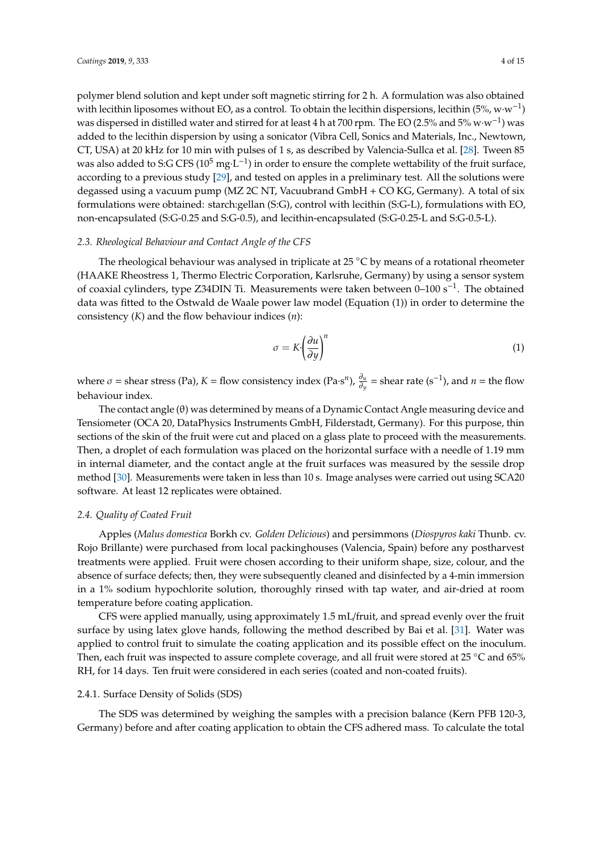polymer blend solution and kept under soft magnetic stirring for 2 h. A formulation was also obtained with lecithin liposomes without EO, as a control. To obtain the lecithin dispersions, lecithin (5%, w·w−<sup>1</sup> ) was dispersed in distilled water and stirred for at least 4 h at 700 rpm. The EO (2.5% and 5% w·w−<sup>1</sup> ) was added to the lecithin dispersion by using a sonicator (Vibra Cell, Sonics and Materials, Inc., Newtown, CT, USA) at 20 kHz for 10 min with pulses of 1 s, as described by Valencia-Sullca et al. [\[28\]](#page-13-10). Tween 85 was also added to S:G CFS ( $10^5$  mg·L<sup>-1</sup>) in order to ensure the complete wettability of the fruit surface, according to a previous study [\[29\]](#page-13-11), and tested on apples in a preliminary test. All the solutions were degassed using a vacuum pump (MZ 2C NT, Vacuubrand GmbH + CO KG, Germany). A total of six formulations were obtained: starch:gellan (S:G), control with lecithin (S:G-L), formulations with EO, non-encapsulated (S:G-0.25 and S:G-0.5), and lecithin-encapsulated (S:G-0.25-L and S:G-0.5-L).

# *2.3. Rheological Behaviour and Contact Angle of the CFS*

The rheological behaviour was analysed in triplicate at 25 ◦C by means of a rotational rheometer (HAAKE Rheostress 1, Thermo Electric Corporation, Karlsruhe, Germany) by using a sensor system of coaxial cylinders, type Z34DIN Ti. Measurements were taken between 0–100 s<sup>-1</sup>. The obtained data was fitted to the Ostwald de Waale power law model (Equation (1)) in order to determine the consistency (*K*) and the flow behaviour indices (*n*):

$$
\sigma = K \left(\frac{\partial u}{\partial y}\right)^n \tag{1}
$$

where  $\sigma$  = shear stress (Pa),  $K$  = flow consistency index (Pa·s<sup>*n*</sup>),  $\frac{\partial u}{\partial y}$  = shear rate (s<sup>-1</sup>), and *n* = the flow behaviour index.

The contact angle (θ) was determined by means of a Dynamic Contact Angle measuring device and Tensiometer (OCA 20, DataPhysics Instruments GmbH, Filderstadt, Germany). For this purpose, thin sections of the skin of the fruit were cut and placed on a glass plate to proceed with the measurements. Then, a droplet of each formulation was placed on the horizontal surface with a needle of 1.19 mm in internal diameter, and the contact angle at the fruit surfaces was measured by the sessile drop method [\[30\]](#page-13-12). Measurements were taken in less than 10 s. Image analyses were carried out using SCA20 software. At least 12 replicates were obtained.

# *2.4. Quality of Coated Fruit*

Apples (*Malus domestica* Borkh cv. *Golden Delicious*) and persimmons (*Diospyros kaki* Thunb. cv. Rojo Brillante) were purchased from local packinghouses (Valencia, Spain) before any postharvest treatments were applied. Fruit were chosen according to their uniform shape, size, colour, and the absence of surface defects; then, they were subsequently cleaned and disinfected by a 4-min immersion in a 1% sodium hypochlorite solution, thoroughly rinsed with tap water, and air-dried at room temperature before coating application.

CFS were applied manually, using approximately 1.5 mL/fruit, and spread evenly over the fruit surface by using latex glove hands, following the method described by Bai et al. [\[31\]](#page-13-13). Water was applied to control fruit to simulate the coating application and its possible effect on the inoculum. Then, each fruit was inspected to assure complete coverage, and all fruit were stored at 25 °C and 65% RH, for 14 days. Ten fruit were considered in each series (coated and non-coated fruits).

# 2.4.1. Surface Density of Solids (SDS)

The SDS was determined by weighing the samples with a precision balance (Kern PFB 120-3, Germany) before and after coating application to obtain the CFS adhered mass. To calculate the total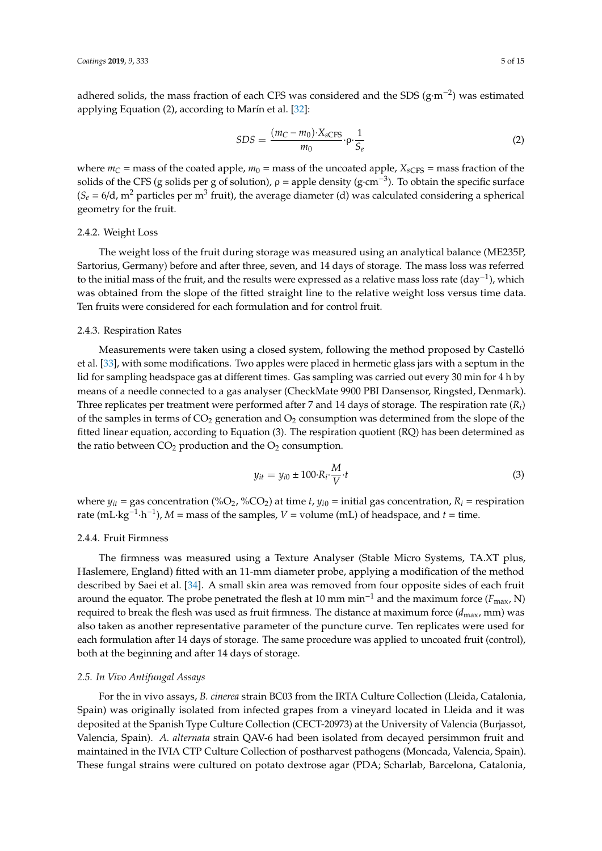adhered solids, the mass fraction of each CFS was considered and the SDS ( $g·m<sup>-2</sup>$ ) was estimated applying Equation (2), according to Marín et al. [\[32\]](#page-13-14):

$$
SDS = \frac{(m_C - m_0) \cdot X_{\text{sCFS}}}{m_0} \cdot \rho \cdot \frac{1}{S_e}
$$
 (2)

where  $m_C$  = mass of the coated apple,  $m_0$  = mass of the uncoated apple,  $X_{SCFS}$  = mass fraction of the solids of the CFS (g solids per g of solution),  $\rho =$  apple density (g·cm<sup>-3</sup>). To obtain the specific surface  $(S_e = 6/d, m^2$  particles per m<sup>3</sup> fruit), the average diameter (d) was calculated considering a spherical geometry for the fruit.

# 2.4.2. Weight Loss

The weight loss of the fruit during storage was measured using an analytical balance (ME235P, Sartorius, Germany) before and after three, seven, and 14 days of storage. The mass loss was referred to the initial mass of the fruit, and the results were expressed as a relative mass loss rate (day−<sup>1</sup> ), which was obtained from the slope of the fitted straight line to the relative weight loss versus time data. Ten fruits were considered for each formulation and for control fruit.

#### 2.4.3. Respiration Rates

Measurements were taken using a closed system, following the method proposed by Castelló et al. [\[33\]](#page-13-15), with some modifications. Two apples were placed in hermetic glass jars with a septum in the lid for sampling headspace gas at different times. Gas sampling was carried out every 30 min for 4 h by means of a needle connected to a gas analyser (CheckMate 9900 PBI Dansensor, Ringsted, Denmark). Three replicates per treatment were performed after 7 and 14 days of storage. The respiration rate  $(R_i)$ of the samples in terms of  $CO<sub>2</sub>$  generation and  $O<sub>2</sub>$  consumption was determined from the slope of the fitted linear equation, according to Equation (3). The respiration quotient (RQ) has been determined as the ratio between  $CO<sub>2</sub>$  production and the  $O<sub>2</sub>$  consumption.

$$
y_{it} = y_{i0} \pm 100 \cdot R_i \cdot \frac{M}{V} \cdot t \tag{3}
$$

where  $y_{it}$  = gas concentration (%O<sub>2</sub>, %CO<sub>2</sub>) at time *t*,  $y_{i0}$  = initial gas concentration,  $R_i$  = respiration rate (mL·kg<sup>-1</sup>·h<sup>-1</sup>), *M* = mass of the samples, *V* = volume (mL) of headspace, and *t* = time.

# 2.4.4. Fruit Firmness

The firmness was measured using a Texture Analyser (Stable Micro Systems, TA.XT plus, Haslemere, England) fitted with an 11-mm diameter probe, applying a modification of the method described by Saei et al. [\[34\]](#page-13-16). A small skin area was removed from four opposite sides of each fruit around the equator. The probe penetrated the flesh at 10 mm min<sup>-1</sup> and the maximum force (*F*<sub>max</sub>, N) required to break the flesh was used as fruit firmness. The distance at maximum force ( $d_{\rm max}$ , mm) was also taken as another representative parameter of the puncture curve. Ten replicates were used for each formulation after 14 days of storage. The same procedure was applied to uncoated fruit (control), both at the beginning and after 14 days of storage.

#### *2.5. In Vivo Antifungal Assays*

For the in vivo assays, *B. cinerea* strain BC03 from the IRTA Culture Collection (Lleida, Catalonia, Spain) was originally isolated from infected grapes from a vineyard located in Lleida and it was deposited at the Spanish Type Culture Collection (CECT-20973) at the University of Valencia (Burjassot, Valencia, Spain). *A. alternata* strain QAV-6 had been isolated from decayed persimmon fruit and maintained in the IVIA CTP Culture Collection of postharvest pathogens (Moncada, Valencia, Spain). These fungal strains were cultured on potato dextrose agar (PDA; Scharlab, Barcelona, Catalonia,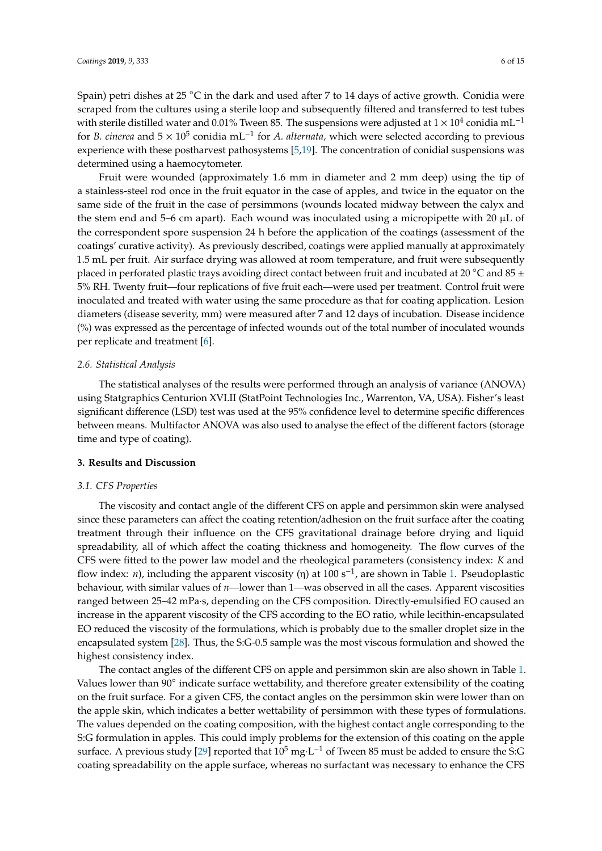Spain) petri dishes at 25 ◦C in the dark and used after 7 to 14 days of active growth. Conidia were scraped from the cultures using a sterile loop and subsequently filtered and transferred to test tubes with sterile distilled water and 0.01% Tween 85. The suspensions were adjusted at  $1 \times 10^4$  conidia mL<sup>-1</sup> for *B. cinerea* and 5 × 10<sup>5</sup> conidia mL<sup>-1</sup> for *A. alternata*, which were selected according to previous experience with these postharvest pathosystems [\[5](#page-12-4)[,19\]](#page-13-1). The concentration of conidial suspensions was determined using a haemocytometer.

Fruit were wounded (approximately 1.6 mm in diameter and 2 mm deep) using the tip of a stainless-steel rod once in the fruit equator in the case of apples, and twice in the equator on the same side of the fruit in the case of persimmons (wounds located midway between the calyx and the stem end and 5–6 cm apart). Each wound was inoculated using a micropipette with 20  $\mu$ L of the correspondent spore suspension 24 h before the application of the coatings (assessment of the coatings' curative activity). As previously described, coatings were applied manually at approximately 1.5 mL per fruit. Air surface drying was allowed at room temperature, and fruit were subsequently placed in perforated plastic trays avoiding direct contact between fruit and incubated at 20 °C and 85  $\pm$ 5% RH. Twenty fruit—four replications of five fruit each—were used per treatment. Control fruit were inoculated and treated with water using the same procedure as that for coating application. Lesion diameters (disease severity, mm) were measured after 7 and 12 days of incubation. Disease incidence (%) was expressed as the percentage of infected wounds out of the total number of inoculated wounds per replicate and treatment [\[6\]](#page-12-5).

#### *2.6. Statistical Analysis*

The statistical analyses of the results were performed through an analysis of variance (ANOVA) using Statgraphics Centurion XVI.II (StatPoint Technologies Inc., Warrenton, VA, USA). Fisher's least significant difference (LSD) test was used at the 95% confidence level to determine specific differences between means. Multifactor ANOVA was also used to analyse the effect of the different factors (storage time and type of coating).

# **3. Results and Discussion**

#### *3.1. CFS Properties*

The viscosity and contact angle of the different CFS on apple and persimmon skin were analysed since these parameters can affect the coating retention/adhesion on the fruit surface after the coating treatment through their influence on the CFS gravitational drainage before drying and liquid spreadability, all of which affect the coating thickness and homogeneity. The flow curves of the CFS were fitted to the power law model and the rheological parameters (consistency index: *K* and flow index: *n*), including the apparent viscosity (η) at 100 s−<sup>1</sup> , are shown in Table [1.](#page-6-0) Pseudoplastic behaviour, with similar values of *n*—lower than 1—was observed in all the cases. Apparent viscosities ranged between 25–42 mPa·s, depending on the CFS composition. Directly-emulsified EO caused an increase in the apparent viscosity of the CFS according to the EO ratio, while lecithin-encapsulated EO reduced the viscosity of the formulations, which is probably due to the smaller droplet size in the encapsulated system [\[28\]](#page-13-10). Thus, the S:G-0.5 sample was the most viscous formulation and showed the highest consistency index.

The contact angles of the different CFS on apple and persimmon skin are also shown in Table [1.](#page-6-0) Values lower than 90° indicate surface wettability, and therefore greater extensibility of the coating on the fruit surface. For a given CFS, the contact angles on the persimmon skin were lower than on the apple skin, which indicates a better wettability of persimmon with these types of formulations. The values depended on the coating composition, with the highest contact angle corresponding to the S:G formulation in apples. This could imply problems for the extension of this coating on the apple surface. A previous study [\[29\]](#page-13-11) reported that  $10^5$  mg·L<sup>-1</sup> of Tween 85 must be added to ensure the S:G coating spreadability on the apple surface, whereas no surfactant was necessary to enhance the CFS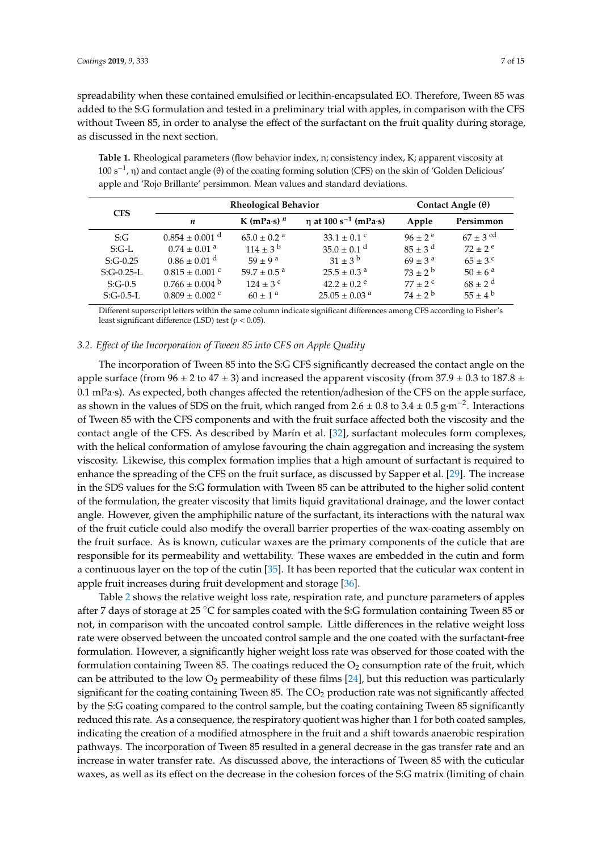spreadability when these contained emulsified or lecithin-encapsulated EO. Therefore, Tween 85 was added to the S:G formulation and tested in a preliminary trial with apples, in comparison with the CFS without Tween 85, in order to analyse the effect of the surfactant on the fruit quality during storage, as discussed in the next section.

<span id="page-6-0"></span>**Table 1.** Rheological parameters (flow behavior index, n; consistency index, K; apparent viscosity at 100 s−<sup>1</sup> , η) and contact angle (θ) of the coating forming solution (CFS) on the skin of 'Golden Delicious' apple and 'Rojo Brillante' persimmon. Mean values and standard deviations.

| <b>CFS</b>   |                                | <b>Rheological Behavior</b>    | Contact Angle $(\theta)$         |                        |                        |
|--------------|--------------------------------|--------------------------------|----------------------------------|------------------------|------------------------|
|              | n                              | K (mPa $\cdot$ s) <sup>n</sup> | η at 100 s <sup>-1</sup> (mPa·s) | Apple                  | Persimmon              |
| S:G          | $0.854 \pm 0.001$ <sup>d</sup> | $65.0 \pm 0.2$ <sup>a</sup>    | 33.1 $\pm$ 0.1 °                 | $96 \pm 2^e$           | $67 + 3$ <sup>cd</sup> |
| $S:G-L$      | $0.74 \pm 0.01$ <sup>a</sup>   | $114 \pm 3^{\rm b}$            | $35.0 \pm 0.1$ <sup>d</sup>      | $85 + 3^d$             | $72 + 2^e$             |
| $S:G-0.25$   | $0.86 \pm 0.01$ <sup>d</sup>   | $59 \pm 9^{\text{ a}}$         | $31 \pm 3^{b}$                   | $69 \pm 3^{\text{ a}}$ | $65 \pm 3^{\circ}$     |
| $S:G-0.25-L$ | $0.815 \pm 0.001$ °            | $59.7 \pm 0.5$ <sup>a</sup>    | $25.5 \pm 0.3$ <sup>a</sup>      | $73 + 2^b$             | $50 \pm 6^{\text{ a}}$ |
| $S:G-0.5$    | $0.766 \pm 0.004$ b            | $124 \pm 3$ c                  | $42.2 \pm 0.2$ <sup>e</sup>      | $77 + 2^{\circ}$       | $68 + 2^d$             |
| $S:G-0.5-L$  | $0.809 \pm 0.002$ c            | $60 \pm 1^{\circ}$             | $25.05 \pm 0.03$ <sup>a</sup>    | $74 + 2^{b}$           | $55 \pm 4^{\rm b}$     |

Different superscript letters within the same column indicate significant differences among CFS according to Fisher's least significant difference (LSD) test (*p* < 0.05).

#### *3.2. E*ff*ect of the Incorporation of Tween 85 into CFS on Apple Quality*

The incorporation of Tween 85 into the S:G CFS significantly decreased the contact angle on the apple surface (from  $96 \pm 2$  to  $47 \pm 3$ ) and increased the apparent viscosity (from  $37.9 \pm 0.3$  to  $187.8 \pm 0.3$ 0.1 mPa·s). As expected, both changes affected the retention/adhesion of the CFS on the apple surface, as shown in the values of SDS on the fruit, which ranged from 2.6  $\pm$  0.8 to 3.4  $\pm$  0.5 g·m<sup>-2</sup>. Interactions of Tween 85 with the CFS components and with the fruit surface affected both the viscosity and the contact angle of the CFS. As described by Marín et al. [\[32\]](#page-13-14), surfactant molecules form complexes, with the helical conformation of amylose favouring the chain aggregation and increasing the system viscosity. Likewise, this complex formation implies that a high amount of surfactant is required to enhance the spreading of the CFS on the fruit surface, as discussed by Sapper et al. [\[29\]](#page-13-11). The increase in the SDS values for the S:G formulation with Tween 85 can be attributed to the higher solid content of the formulation, the greater viscosity that limits liquid gravitational drainage, and the lower contact angle. However, given the amphiphilic nature of the surfactant, its interactions with the natural wax of the fruit cuticle could also modify the overall barrier properties of the wax-coating assembly on the fruit surface. As is known, cuticular waxes are the primary components of the cuticle that are responsible for its permeability and wettability. These waxes are embedded in the cutin and form a continuous layer on the top of the cutin [\[35\]](#page-13-17). It has been reported that the cuticular wax content in apple fruit increases during fruit development and storage [\[36\]](#page-13-18).

Table [2](#page-7-0) shows the relative weight loss rate, respiration rate, and puncture parameters of apples after 7 days of storage at 25 ◦C for samples coated with the S:G formulation containing Tween 85 or not, in comparison with the uncoated control sample. Little differences in the relative weight loss rate were observed between the uncoated control sample and the one coated with the surfactant-free formulation. However, a significantly higher weight loss rate was observed for those coated with the formulation containing Tween 85. The coatings reduced the  $O<sub>2</sub>$  consumption rate of the fruit, which can be attributed to the low  $O_2$  permeability of these films [\[24\]](#page-13-6), but this reduction was particularly significant for the coating containing Tween 85. The  $CO<sub>2</sub>$  production rate was not significantly affected by the S:G coating compared to the control sample, but the coating containing Tween 85 significantly reduced this rate. As a consequence, the respiratory quotient was higher than 1 for both coated samples, indicating the creation of a modified atmosphere in the fruit and a shift towards anaerobic respiration pathways. The incorporation of Tween 85 resulted in a general decrease in the gas transfer rate and an increase in water transfer rate. As discussed above, the interactions of Tween 85 with the cuticular waxes, as well as its effect on the decrease in the cohesion forces of the S:G matrix (limiting of chain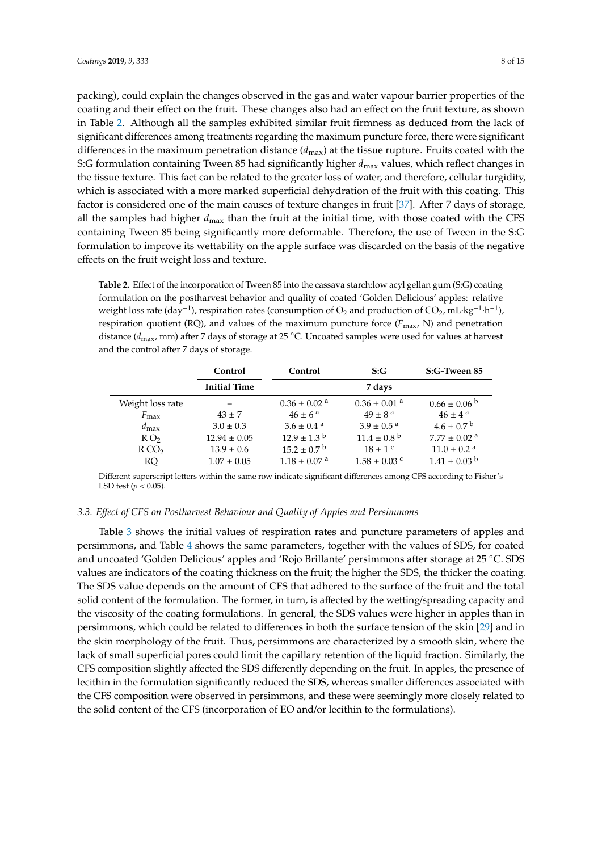packing), could explain the changes observed in the gas and water vapour barrier properties of the coating and their effect on the fruit. These changes also had an effect on the fruit texture, as shown in Table [2.](#page-7-0) Although all the samples exhibited similar fruit firmness as deduced from the lack of significant differences among treatments regarding the maximum puncture force, there were significant differences in the maximum penetration distance (*d*max) at the tissue rupture. Fruits coated with the S:G formulation containing Tween 85 had significantly higher *d*max values, which reflect changes in the tissue texture. This fact can be related to the greater loss of water, and therefore, cellular turgidity, which is associated with a more marked superficial dehydration of the fruit with this coating. This factor is considered one of the main causes of texture changes in fruit [\[37\]](#page-13-19). After 7 days of storage, all the samples had higher *d*max than the fruit at the initial time, with those coated with the CFS containing Tween 85 being significantly more deformable. Therefore, the use of Tween in the S:G formulation to improve its wettability on the apple surface was discarded on the basis of the negative effects on the fruit weight loss and texture.

<span id="page-7-0"></span>**Table 2.** Effect of the incorporation of Tween 85 into the cassava starch:low acyl gellan gum (S:G) coating formulation on the postharvest behavior and quality of coated 'Golden Delicious' apples: relative weight loss rate (day<sup>-1</sup>), respiration rates (consumption of O<sub>2</sub> and production of CO<sub>2</sub>, mL·kg<sup>-1</sup>·h<sup>-1</sup>), respiration quotient (RQ), and values of the maximum puncture force (*F*max, N) and penetration distance (*d*max, mm) after 7 days of storage at 25 ◦C. Uncoated samples were used for values at harvest and the control after 7 days of storage.

|                  | Control             | Control                      | S:G                          | S:G-Tween 85                 |
|------------------|---------------------|------------------------------|------------------------------|------------------------------|
|                  | <b>Initial Time</b> |                              | 7 days                       |                              |
| Weight loss rate |                     | $0.36 \pm 0.02$ <sup>a</sup> | $0.36 \pm 0.01$ <sup>a</sup> | $0.66 \pm 0.06^{\mathrm{b}}$ |
| $F_{\rm max}$    | $43 \pm 7$          | $46 \pm 6^{\circ}$           | $49 \pm 8^{\text{a}}$        | $46 \pm 4^{\text{a}}$        |
| $d_{\max}$       | $3.0 \pm 0.3$       | $3.6 \pm 0.4$ <sup>a</sup>   | $3.9 \pm 0.5$ <sup>a</sup>   | $4.6 \pm 0.7^{\circ b}$      |
| RO <sub>2</sub>  | $12.94 \pm 0.05$    | $12.9 \pm 1.3^{\mathrm{b}}$  | $11.4 \pm 0.8^{\text{ b}}$   | $7.77 \pm 0.02$ <sup>a</sup> |
| RCO <sub>2</sub> | $13.9 \pm 0.6$      | $15.2 \pm 0.7^{\mathrm{b}}$  | $18 \pm 1$ c                 | $11.0 \pm 0.2$ <sup>a</sup>  |
| RQ               | $1.07 \pm 0.05$     | $1.18 \pm 0.07$ <sup>a</sup> | $1.58 \pm 0.03$ c            | $1.41 \pm 0.03$ <sup>b</sup> |

Different superscript letters within the same row indicate significant differences among CFS according to Fisher's LSD test ( $p < 0.05$ ).

# *3.3. E*ff*ect of CFS on Postharvest Behaviour and Quality of Apples and Persimmons*

Table [3](#page-8-0) shows the initial values of respiration rates and puncture parameters of apples and persimmons, and Table [4](#page-8-1) shows the same parameters, together with the values of SDS, for coated and uncoated 'Golden Delicious' apples and 'Rojo Brillante' persimmons after storage at 25 ◦C. SDS values are indicators of the coating thickness on the fruit; the higher the SDS, the thicker the coating. The SDS value depends on the amount of CFS that adhered to the surface of the fruit and the total solid content of the formulation. The former, in turn, is affected by the wetting/spreading capacity and the viscosity of the coating formulations. In general, the SDS values were higher in apples than in persimmons, which could be related to differences in both the surface tension of the skin [\[29\]](#page-13-11) and in the skin morphology of the fruit. Thus, persimmons are characterized by a smooth skin, where the lack of small superficial pores could limit the capillary retention of the liquid fraction. Similarly, the CFS composition slightly affected the SDS differently depending on the fruit. In apples, the presence of lecithin in the formulation significantly reduced the SDS, whereas smaller differences associated with the CFS composition were observed in persimmons, and these were seemingly more closely related to the solid content of the CFS (incorporation of EO and/or lecithin to the formulations).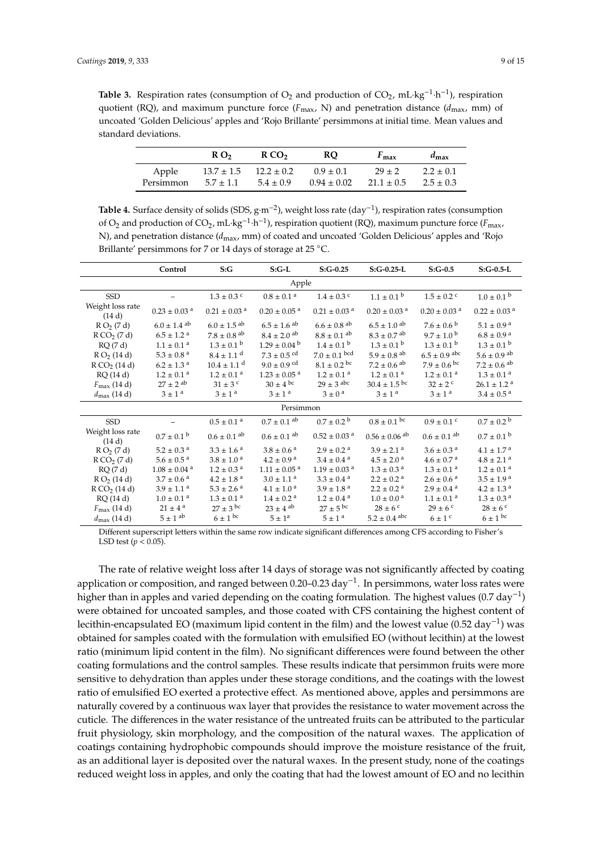<span id="page-8-0"></span>**Table 3.** Respiration rates (consumption of  $O_2$  and production of  $CO_2$ , mL·kg<sup>-1</sup>·h<sup>-1</sup>), respiration quotient (RQ), and maximum puncture force ( $F_{\text{max}}$ , N) and penetration distance ( $d_{\text{max}}$ , mm) of uncoated 'Golden Delicious' apples and 'Rojo Brillante' persimmons at initial time. Mean values and standard deviations.

|           | R <sub>0</sub> | RCO <sub>2</sub> | <b>RO</b>       | $F_{\text{max}}$ | $d_{\text{max}}$ |
|-----------|----------------|------------------|-----------------|------------------|------------------|
| Apple     | $13.7 \pm 1.5$ | $12.2 \pm 0.2$   | $0.9 \pm 0.1$   | $29 \pm 2$       | $2.2 \pm 0.1$    |
| Persimmon | $5.7 \pm 1.1$  | $5.4 \pm 0.9$    | $0.94 \pm 0.02$ | $21.1 \pm 0.5$   | $2.5 \pm 0.3$    |

<span id="page-8-1"></span>**Table 4.** Surface density of solids (SDS, g·m−<sup>2</sup> ), weight loss rate (day−<sup>1</sup> ), respiration rates (consumption of O<sub>2</sub> and production of CO<sub>2</sub>, mL·kg<sup>-1</sup>·h<sup>-1</sup>), respiration quotient (RQ), maximum puncture force (*F*<sub>max</sub>, N), and penetration distance (*d*max, mm) of coated and uncoated 'Golden Delicious' apples and 'Rojo Brillante' persimmons for 7 or 14 days of storage at 25 °C.

|                            | Control                      | S:G                          | $S:G-L$                      | $S:G-0.25$                   | $S:G-0.25-L$                  | $S:G-0.5$                    | $S:G-0.5-L$                  |  |  |
|----------------------------|------------------------------|------------------------------|------------------------------|------------------------------|-------------------------------|------------------------------|------------------------------|--|--|
| Apple                      |                              |                              |                              |                              |                               |                              |                              |  |  |
| <b>SSD</b>                 |                              | $1.3 \pm 0.3$ c              | $0.8 \pm 0.1$ <sup>a</sup>   | $1.4 \pm 0.3$ c              | $1.1 \pm 0.1^{\circ}$         | $1.5 \pm 0.2$ c              | $1.0 \pm 0.1^{\circ}$        |  |  |
| Weight loss rate<br>(14 d) | $0.23 \pm 0.03$ <sup>a</sup> | $0.21 \pm 0.03$ <sup>a</sup> | $0.20 \pm 0.05$ <sup>a</sup> | $0.21 \pm 0.03$ <sup>a</sup> | $0.20 \pm 0.03$ <sup>a</sup>  | $0.20 \pm 0.03$ <sup>a</sup> | $0.22 \pm 0.03$ <sup>a</sup> |  |  |
| $R O_2 (7 d)$              | $6.0 \pm 1.4$ <sup>ab</sup>  | $6.0 \pm 1.5$ <sup>ab</sup>  | $6.5 \pm 1.6$ <sup>ab</sup>  | $6.6 \pm 0.8$ <sup>ab</sup>  | $6.5 \pm 1.0$ <sup>ab</sup>   | $7.6 \pm 0.6^{b}$            | $5.1 \pm 0.9$ <sup>a</sup>   |  |  |
| R CO <sub>2</sub> (7 d)    | $6.5 \pm 1.2$ <sup>a</sup>   | $7.8 \pm 0.8$ <sup>ab</sup>  | $8.4 \pm 2.0$ ab             | $8.8 \pm 0.1$ ab             | $8.3 \pm 0.7$ <sup>ab</sup>   | $9.7 \pm 1.0^{\mathrm{b}}$   | $6.8 \pm 0.9$ <sup>a</sup>   |  |  |
| RQ(7d)                     | $1.1 \pm 0.1$ <sup>a</sup>   | $1.3 \pm 0.1^{\circ}$        | $1.29 \pm 0.04^{\mathrm{b}}$ | $1.4 \pm 0.1^{\mathrm{b}}$   | $1.3 \pm 0.1^{\circ}$         | $1.3 \pm 0.1^{\circ}$        | $1.3 \pm 0.1^{\mathrm{b}}$   |  |  |
| $R O_2$ (14 d)             | $5.3 \pm 0.8$ <sup>a</sup>   | $8.4 \pm 1.1$ <sup>d</sup>   | $7.3 \pm 0.5$ cd             | $7.0 \pm 0.1$ bcd            | $5.9 \pm 0.8$ <sup>ab</sup>   | $6.5 \pm 0.9$ abc            | $5.6 \pm 0.9$ <sup>ab</sup>  |  |  |
| R CO <sub>2</sub> (14 d)   | $6.2 \pm 1.3$ <sup>a</sup>   | $10.4 \pm 1.1$ <sup>d</sup>  | $9.0 \pm 0.9$ cd             | $8.1 \pm 0.2$ bc             | $7.2 \pm 0.6$ <sup>ab</sup>   | $7.9 \pm 0.6$ bc             | $7.2 \pm 0.6$ <sup>ab</sup>  |  |  |
| RQ(14d)                    | $1.2 \pm 0.1$ <sup>a</sup>   | $1.2 \pm 0.1$ <sup>a</sup>   | $1.23 \pm 0.05$ <sup>a</sup> | $1.2 \pm 0.1$ <sup>a</sup>   | $1.2 \pm 0.1$ <sup>a</sup>    | $1.2 \pm 0.1$ <sup>a</sup>   | $1.3 \pm 0.1$ <sup>a</sup>   |  |  |
| $F_{\text{max}}$ (14 d)    | $27 \pm 2$ <sup>ab</sup>     | $31 \pm 3$ c                 | $30 \pm 4^{\text{bc}}$       | $29 + 3$ abc                 | $30.4 \pm 1.5$ bc             | $32 + 2^c$                   | $26.1 \pm 1.2$ <sup>a</sup>  |  |  |
| $d_{\text{max}}$ (14 d)    | $3 \pm 1^a$                  | $3 \pm 1^a$                  | $3 \pm 1^a$                  | $3 \pm 0^{\circ}$            | $3 \pm 1^a$                   | $3 \pm 1^a$                  | $3.4 \pm 0.5$ <sup>a</sup>   |  |  |
|                            |                              |                              | Persimmon                    |                              |                               |                              |                              |  |  |
| <b>SSD</b>                 |                              | $0.5 \pm 0.1$ <sup>a</sup>   | $0.7 \pm 0.1$ ab             | $0.7 \pm 0.2^{\circ}$        | $0.8 \pm 0.1$ bc              | $0.9 \pm 0.1$ c              | $0.7 \pm 0.2^{\circ}$        |  |  |
| Weight loss rate<br>(14 d) | $0.7 \pm 0.1^{\circ}$        | $0.6 \pm 0.1$ ab             | $0.6 \pm 0.1$ ab             | $0.52 \pm 0.03$ <sup>a</sup> | $0.56 \pm 0.06$ <sup>ab</sup> | $0.6 \pm 0.1$ ab             | $0.7 \pm 0.1^{\text{ b}}$    |  |  |
| $R O_2 (7 d)$              | $5.2 \pm 0.3$ <sup>a</sup>   | $3.3 \pm 1.6^{\circ}$        | $3.8 \pm 0.6^{\circ}$        | $2.9 \pm 0.2$ <sup>a</sup>   | $3.9 \pm 2.1$ <sup>a</sup>    | $3.6 \pm 0.3$ <sup>a</sup>   | $4.1 \pm 1.7$ <sup>a</sup>   |  |  |
| R CO <sub>2</sub> (7 d)    | $5.6 \pm 0.5^{\text{a}}$     | $3.8 \pm 1.0^{\text{ a}}$    | $4.2 \pm 0.9$ <sup>a</sup>   | $3.4 \pm 0.4$ <sup>a</sup>   | $4.5 \pm 2.0^{\circ}$         | $4.6 \pm 0.7$ <sup>a</sup>   | $4.8 \pm 2.1$ <sup>a</sup>   |  |  |
| RQ(7d)                     | $1.08\pm0.04$ $^{\rm a}$     | $1.2\pm0.3$ $^{\rm a}$       | $1.11 \pm 0.05$ <sup>a</sup> | $1.19 \pm 0.03$ <sup>a</sup> | $1.3 \pm 0.3$ <sup>a</sup>    | $1.3 \pm 0.1$ <sup>a</sup>   | $1.2 \pm 0.1$ <sup>a</sup>   |  |  |
| R O <sub>2</sub> (14 d)    | $3.7 \pm 0.6$ <sup>a</sup>   | $4.2 \pm 1.8$ <sup>a</sup>   | $3.0 \pm 1.1$ <sup>a</sup>   | $3.3 \pm 0.4$ <sup>a</sup>   | $2.2 \pm 0.2$ <sup>a</sup>    | $2.6 \pm 0.6$ <sup>a</sup>   | $3.5 \pm 1.9$ <sup>a</sup>   |  |  |
| R CO <sub>2</sub> (14 d)   | $3.9 \pm 1.1$ <sup>a</sup>   | $5.3 \pm 2.6^{\text{a}}$     | $4.1 \pm 1.0^{\circ}$        | $3.9 \pm 1.8$ <sup>a</sup>   | $2.2 \pm 0.2$ <sup>a</sup>    | $2.9 \pm 0.4$ <sup>a</sup>   | $4.2 \pm 1.3$ <sup>a</sup>   |  |  |
| RQ(14 d)                   | $1.0 \pm 0.1$ <sup>a</sup>   | $1.3 \pm 0.1$ <sup>a</sup>   | $1.4 \pm 0.2$ <sup>a</sup>   | $1.2 \pm 0.4$ <sup>a</sup>   | $1.0 \pm 0.0^{\circ}$         | $1.1 \pm 0.1$ <sup>a</sup>   | $1.3 \pm 0.3$ <sup>a</sup>   |  |  |
| $F_{\text{max}}$ (14 d)    | $21 \pm 4^{\text{a}}$        | $27 \pm 3$ bc                | $23 \pm 4$ ab                | $27 \pm 5$ bc                | $28 \pm 6$ c                  | $29 \pm 6$ c                 | $28 \pm 6$ c                 |  |  |
| $d_{\text{max}}$ (14 d)    | $5 \pm 1$ ab                 | $6 \pm 1^{bc}$               | $5 \pm 1^a$                  | $5 \pm 1$ <sup>a</sup>       | $5.2 \pm 0.4$ abc             | $6 \pm 1$ <sup>c</sup>       | $6 \pm 1$ bc                 |  |  |

Different superscript letters within the same row indicate significant differences among CFS according to Fisher's LSD test  $(p < 0.05)$ .

The rate of relative weight loss after 14 days of storage was not significantly affected by coating application or composition, and ranged between 0.20–0.23 day−<sup>1</sup> . In persimmons, water loss rates were higher than in apples and varied depending on the coating formulation. The highest values (0.7 day−<sup>1</sup> ) were obtained for uncoated samples, and those coated with CFS containing the highest content of lecithin-encapsulated EO (maximum lipid content in the film) and the lowest value (0.52 day−<sup>1</sup> ) was obtained for samples coated with the formulation with emulsified EO (without lecithin) at the lowest ratio (minimum lipid content in the film). No significant differences were found between the other coating formulations and the control samples. These results indicate that persimmon fruits were more sensitive to dehydration than apples under these storage conditions, and the coatings with the lowest ratio of emulsified EO exerted a protective effect. As mentioned above, apples and persimmons are naturally covered by a continuous wax layer that provides the resistance to water movement across the cuticle. The differences in the water resistance of the untreated fruits can be attributed to the particular fruit physiology, skin morphology, and the composition of the natural waxes. The application of coatings containing hydrophobic compounds should improve the moisture resistance of the fruit, as an additional layer is deposited over the natural waxes. In the present study, none of the coatings reduced weight loss in apples, and only the coating that had the lowest amount of EO and no lecithin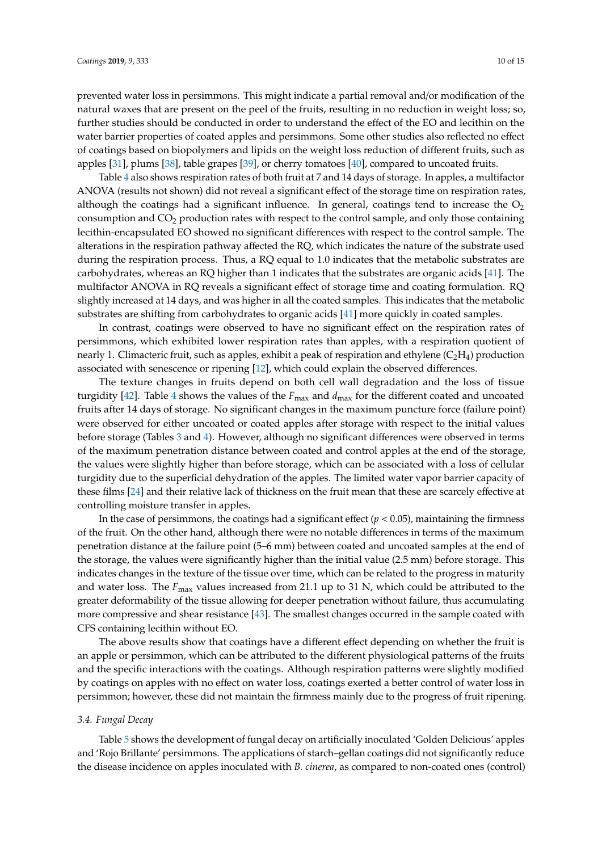prevented water loss in persimmons. This might indicate a partial removal and/or modification of the natural waxes that are present on the peel of the fruits, resulting in no reduction in weight loss; so, further studies should be conducted in order to understand the effect of the EO and lecithin on the water barrier properties of coated apples and persimmons. Some other studies also reflected no effect of coatings based on biopolymers and lipids on the weight loss reduction of different fruits, such as apples [\[31\]](#page-13-13), plums [\[38\]](#page-13-20), table grapes [\[39\]](#page-13-21), or cherry tomatoes [\[40\]](#page-14-0), compared to uncoated fruits.

Table [4](#page-8-1) also shows respiration rates of both fruit at 7 and 14 days of storage. In apples, a multifactor ANOVA (results not shown) did not reveal a significant effect of the storage time on respiration rates, although the coatings had a significant influence. In general, coatings tend to increase the  $O<sub>2</sub>$ consumption and  $CO<sub>2</sub>$  production rates with respect to the control sample, and only those containing lecithin-encapsulated EO showed no significant differences with respect to the control sample. The alterations in the respiration pathway affected the RQ, which indicates the nature of the substrate used during the respiration process. Thus, a RQ equal to 1.0 indicates that the metabolic substrates are carbohydrates, whereas an RQ higher than 1 indicates that the substrates are organic acids [\[41\]](#page-14-1). The multifactor ANOVA in RQ reveals a significant effect of storage time and coating formulation. RQ slightly increased at 14 days, and was higher in all the coated samples. This indicates that the metabolic substrates are shifting from carbohydrates to organic acids [\[41\]](#page-14-1) more quickly in coated samples.

In contrast, coatings were observed to have no significant effect on the respiration rates of persimmons, which exhibited lower respiration rates than apples, with a respiration quotient of nearly 1. Climacteric fruit, such as apples, exhibit a peak of respiration and ethylene  $(C_2H_4)$  production associated with senescence or ripening [\[12\]](#page-12-11), which could explain the observed differences.

The texture changes in fruits depend on both cell wall degradation and the loss of tissue turgidity [\[42\]](#page-14-2). Table [4](#page-8-1) shows the values of the *F*max and *d*max for the different coated and uncoated fruits after 14 days of storage. No significant changes in the maximum puncture force (failure point) were observed for either uncoated or coated apples after storage with respect to the initial values before storage (Tables [3](#page-8-0) and [4\)](#page-8-1). However, although no significant differences were observed in terms of the maximum penetration distance between coated and control apples at the end of the storage, the values were slightly higher than before storage, which can be associated with a loss of cellular turgidity due to the superficial dehydration of the apples. The limited water vapor barrier capacity of these films [\[24\]](#page-13-6) and their relative lack of thickness on the fruit mean that these are scarcely effective at controlling moisture transfer in apples.

In the case of persimmons, the coatings had a significant effect  $(p < 0.05)$ , maintaining the firmness of the fruit. On the other hand, although there were no notable differences in terms of the maximum penetration distance at the failure point (5–6 mm) between coated and uncoated samples at the end of the storage, the values were significantly higher than the initial value (2.5 mm) before storage. This indicates changes in the texture of the tissue over time, which can be related to the progress in maturity and water loss. The  $F_{\text{max}}$  values increased from 21.1 up to 31 N, which could be attributed to the greater deformability of the tissue allowing for deeper penetration without failure, thus accumulating more compressive and shear resistance [\[43\]](#page-14-3). The smallest changes occurred in the sample coated with CFS containing lecithin without EO.

The above results show that coatings have a different effect depending on whether the fruit is an apple or persimmon, which can be attributed to the different physiological patterns of the fruits and the specific interactions with the coatings. Although respiration patterns were slightly modified by coatings on apples with no effect on water loss, coatings exerted a better control of water loss in persimmon; however, these did not maintain the firmness mainly due to the progress of fruit ripening.

#### *3.4. Fungal Decay*

Table [5](#page-10-0) shows the development of fungal decay on artificially inoculated 'Golden Delicious' apples and 'Rojo Brillante' persimmons. The applications of starch–gellan coatings did not significantly reduce the disease incidence on apples inoculated with *B. cinerea*, as compared to non-coated ones (control)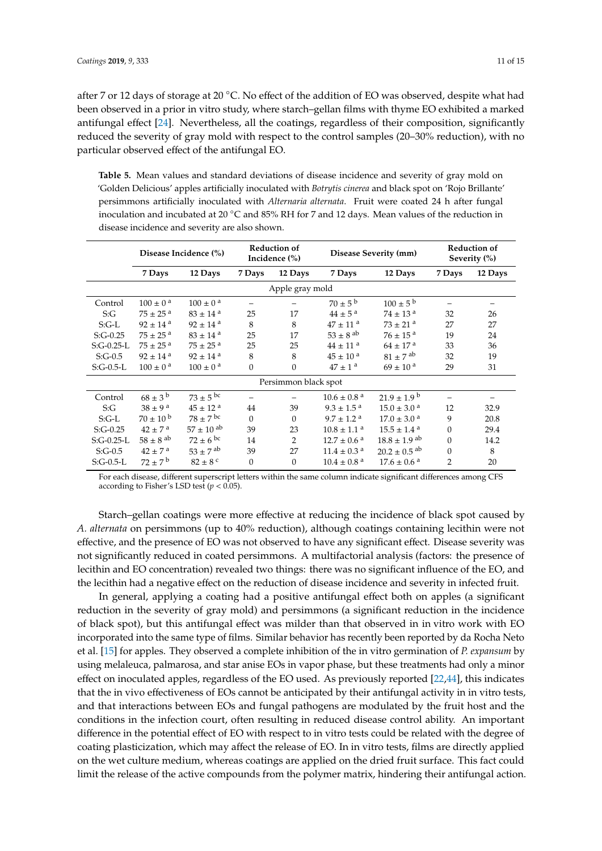after 7 or 12 days of storage at 20 °C. No effect of the addition of EO was observed, despite what had been observed in a prior in vitro study, where starch–gellan films with thyme EO exhibited a marked antifungal effect [\[24\]](#page-13-6). Nevertheless, all the coatings, regardless of their composition, significantly reduced the severity of gray mold with respect to the control samples (20–30% reduction), with no particular observed effect of the antifungal EO.

<span id="page-10-0"></span>**Table 5.** Mean values and standard deviations of disease incidence and severity of gray mold on 'Golden Delicious' apples artificially inoculated with *Botrytis cinerea* and black spot on 'Rojo Brillante' persimmons artificially inoculated with *Alternaria alternata*. Fruit were coated 24 h after fungal inoculation and incubated at 20 ◦C and 85% RH for 7 and 12 days. Mean values of the reduction in disease incidence and severity are also shown.

|                 | Disease Incidence (%)    |                          | <b>Reduction of</b><br>Incidence (%) |                      | Disease Severity (mm)       |                              | <b>Reduction of</b><br>Severity (%) |         |  |
|-----------------|--------------------------|--------------------------|--------------------------------------|----------------------|-----------------------------|------------------------------|-------------------------------------|---------|--|
|                 | 7 Days                   | 12 Days                  | 7 Days                               | 12 Days              | 7 Days                      | 12 Days                      | 7 Days                              | 12 Days |  |
| Apple gray mold |                          |                          |                                      |                      |                             |                              |                                     |         |  |
| Control         | $100 \pm 0^{\text{ a}}$  | $100 \pm 0^{\text{ a}}$  |                                      |                      | $70 \pm 5^{\rm b}$          | $100 \pm 5^{b}$              | -                                   |         |  |
| S:G             | $75 \pm 25^{\text{a}}$   | $83 \pm 14$ <sup>a</sup> | 25                                   | 17                   | $44 \pm 5^{\text{a}}$       | $74 \pm 13$ <sup>a</sup>     | 32                                  | 26      |  |
| $S:G-L$         | $92 \pm 14$ <sup>a</sup> | $92 \pm 14$ <sup>a</sup> | 8                                    | 8                    | $47 \pm 11$ <sup>a</sup>    | $73 \pm 21$ <sup>a</sup>     | 27                                  | 27      |  |
| $S:G-0.25$      | $75 \pm 25$ <sup>a</sup> | $83 \pm 14$ <sup>a</sup> | 25                                   | 17                   | $53\pm8$ $^{\rm ab}$        | $76\pm15$ $^{\rm a}$         | 19                                  | 24      |  |
| $S:G-0.25-L$    | $75 \pm 25^{\text{a}}$   | $75 \pm 25$ <sup>a</sup> | 25                                   | 25                   | $44 \pm 11$ <sup>a</sup>    | $64 \pm 17$ <sup>a</sup>     | 33                                  | 36      |  |
| $S:G-0.5$       | $92 \pm 14$ <sup>a</sup> | $92 \pm 14$ <sup>a</sup> | 8                                    | 8                    | $45 \pm 10^{a}$             | $81 \pm 7$ <sup>ab</sup>     | 32                                  | 19      |  |
| $S:G-0.5-L$     | $100 \pm 0^{\text{a}}$   | $100 \pm 0^{\text{ a}}$  | $\mathbf{0}$                         | $\mathbf{0}$         | $47 \pm 1^{\text{a}}$       | $69 \pm 10^{a}$              | 29                                  | 31      |  |
|                 |                          |                          |                                      | Persimmon black spot |                             |                              |                                     |         |  |
| Control         | $68 \pm 3^{b}$           | $73 \pm 5$ bc            |                                      |                      | $10.6 \pm 0.8$ <sup>a</sup> | $21.9 \pm 1.9^{\mathrm{b}}$  |                                     |         |  |
| S:G             | $38 \pm 9^{\text{ a}}$   | $45 \pm 12^{a}$          | 44                                   | 39                   | $9.3 \pm 1.5^{\text{a}}$    | $15.0 \pm 3.0$ <sup>a</sup>  | 12                                  | 32.9    |  |
| $S:G-L$         | $70 \pm 10^{b}$          | $78 \pm 7$ bc            | $\Omega$                             | $\mathbf{0}$         | $9.7 \pm 1.2$ <sup>a</sup>  | $17.0 \pm 3.0$ <sup>a</sup>  | 9                                   | 20.8    |  |
| $S:G-0.25$      | $42 \pm 7^{\text{a}}$    | $57 \pm 10^{ab}$         | 39                                   | 23                   | $10.8 \pm 1.1$ <sup>a</sup> | $15.5 \pm 1.4$ <sup>a</sup>  | $\Omega$                            | 29.4    |  |
| $S:G-0.25-L$    | $58 \pm 8$ <sup>ab</sup> | $72 \pm 6$ bc            | 14                                   | $\overline{2}$       | $12.7 \pm 0.6$ <sup>a</sup> | $18.8 \pm 1.9$ <sup>ab</sup> | $\mathbf{0}$                        | 14.2    |  |
| $S:G-0.5$       | $42 \pm 7^{\text{a}}$    | $53 \pm 7$ ab            | 39                                   | 27                   | $11.4\pm0.3$ $^{\rm a}$     | $20.2 \pm 0.5$ <sup>ab</sup> | $\overline{0}$                      | 8       |  |
| $S:G-0.5-L$     | $72 \pm 7^{\rm b}$       | $82 \pm 8$ °             | $\mathbf{0}$                         | $\boldsymbol{0}$     | $10.4 \pm 0.8$ <sup>a</sup> | $17.6 \pm 0.6$ <sup>a</sup>  | $\overline{2}$                      | 20      |  |

For each disease, different superscript letters within the same column indicate significant differences among CFS according to Fisher's LSD test (*p* < 0.05).

Starch–gellan coatings were more effective at reducing the incidence of black spot caused by *A. alternata* on persimmons (up to 40% reduction), although coatings containing lecithin were not effective, and the presence of EO was not observed to have any significant effect. Disease severity was not significantly reduced in coated persimmons. A multifactorial analysis (factors: the presence of lecithin and EO concentration) revealed two things: there was no significant influence of the EO, and the lecithin had a negative effect on the reduction of disease incidence and severity in infected fruit.

In general, applying a coating had a positive antifungal effect both on apples (a significant reduction in the severity of gray mold) and persimmons (a significant reduction in the incidence of black spot), but this antifungal effect was milder than that observed in in vitro work with EO incorporated into the same type of films. Similar behavior has recently been reported by da Rocha Neto et al. [\[15\]](#page-12-14) for apples. They observed a complete inhibition of the in vitro germination of *P. expansum* by using melaleuca, palmarosa, and star anise EOs in vapor phase, but these treatments had only a minor effect on inoculated apples, regardless of the EO used. As previously reported [\[22,](#page-13-4)[44\]](#page-14-4), this indicates that the in vivo effectiveness of EOs cannot be anticipated by their antifungal activity in in vitro tests, and that interactions between EOs and fungal pathogens are modulated by the fruit host and the conditions in the infection court, often resulting in reduced disease control ability. An important difference in the potential effect of EO with respect to in vitro tests could be related with the degree of coating plasticization, which may affect the release of EO. In in vitro tests, films are directly applied on the wet culture medium, whereas coatings are applied on the dried fruit surface. This fact could limit the release of the active compounds from the polymer matrix, hindering their antifungal action.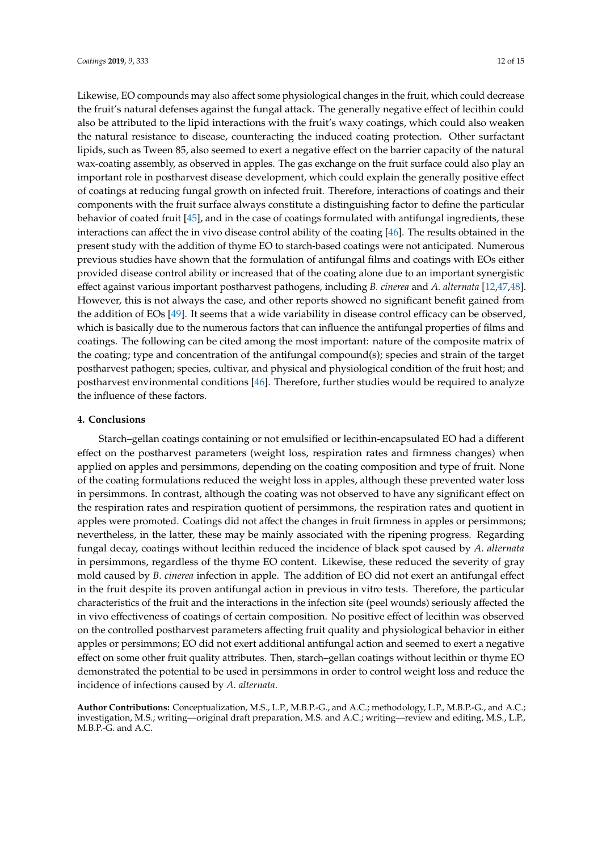Likewise, EO compounds may also affect some physiological changes in the fruit, which could decrease the fruit's natural defenses against the fungal attack. The generally negative effect of lecithin could also be attributed to the lipid interactions with the fruit's waxy coatings, which could also weaken the natural resistance to disease, counteracting the induced coating protection. Other surfactant lipids, such as Tween 85, also seemed to exert a negative effect on the barrier capacity of the natural wax-coating assembly, as observed in apples. The gas exchange on the fruit surface could also play an important role in postharvest disease development, which could explain the generally positive effect of coatings at reducing fungal growth on infected fruit. Therefore, interactions of coatings and their components with the fruit surface always constitute a distinguishing factor to define the particular behavior of coated fruit [\[45\]](#page-14-5), and in the case of coatings formulated with antifungal ingredients, these interactions can affect the in vivo disease control ability of the coating [\[46\]](#page-14-6). The results obtained in the present study with the addition of thyme EO to starch-based coatings were not anticipated. Numerous previous studies have shown that the formulation of antifungal films and coatings with EOs either provided disease control ability or increased that of the coating alone due to an important synergistic effect against various important postharvest pathogens, including *B. cinerea* and *A. alternata* [\[12](#page-12-11)[,47](#page-14-7)[,48\]](#page-14-8). However, this is not always the case, and other reports showed no significant benefit gained from the addition of EOs [\[49\]](#page-14-9). It seems that a wide variability in disease control efficacy can be observed, which is basically due to the numerous factors that can influence the antifungal properties of films and coatings. The following can be cited among the most important: nature of the composite matrix of the coating; type and concentration of the antifungal compound(s); species and strain of the target postharvest pathogen; species, cultivar, and physical and physiological condition of the fruit host; and postharvest environmental conditions [\[46\]](#page-14-6). Therefore, further studies would be required to analyze the influence of these factors.

#### **4. Conclusions**

Starch–gellan coatings containing or not emulsified or lecithin-encapsulated EO had a different effect on the postharvest parameters (weight loss, respiration rates and firmness changes) when applied on apples and persimmons, depending on the coating composition and type of fruit. None of the coating formulations reduced the weight loss in apples, although these prevented water loss in persimmons. In contrast, although the coating was not observed to have any significant effect on the respiration rates and respiration quotient of persimmons, the respiration rates and quotient in apples were promoted. Coatings did not affect the changes in fruit firmness in apples or persimmons; nevertheless, in the latter, these may be mainly associated with the ripening progress. Regarding fungal decay, coatings without lecithin reduced the incidence of black spot caused by *A. alternata* in persimmons, regardless of the thyme EO content. Likewise, these reduced the severity of gray mold caused by *B. cinerea* infection in apple. The addition of EO did not exert an antifungal effect in the fruit despite its proven antifungal action in previous in vitro tests. Therefore, the particular characteristics of the fruit and the interactions in the infection site (peel wounds) seriously affected the in vivo effectiveness of coatings of certain composition. No positive effect of lecithin was observed on the controlled postharvest parameters affecting fruit quality and physiological behavior in either apples or persimmons; EO did not exert additional antifungal action and seemed to exert a negative effect on some other fruit quality attributes. Then, starch–gellan coatings without lecithin or thyme EO demonstrated the potential to be used in persimmons in order to control weight loss and reduce the incidence of infections caused by *A. alternata*.

**Author Contributions:** Conceptualization, M.S., L.P., M.B.P.-G., and A.C.; methodology, L.P., M.B.P.-G., and A.C.; investigation, M.S.; writing—original draft preparation, M.S. and A.C.; writing—review and editing, M.S., L.P., M.B.P.-G. and A.C.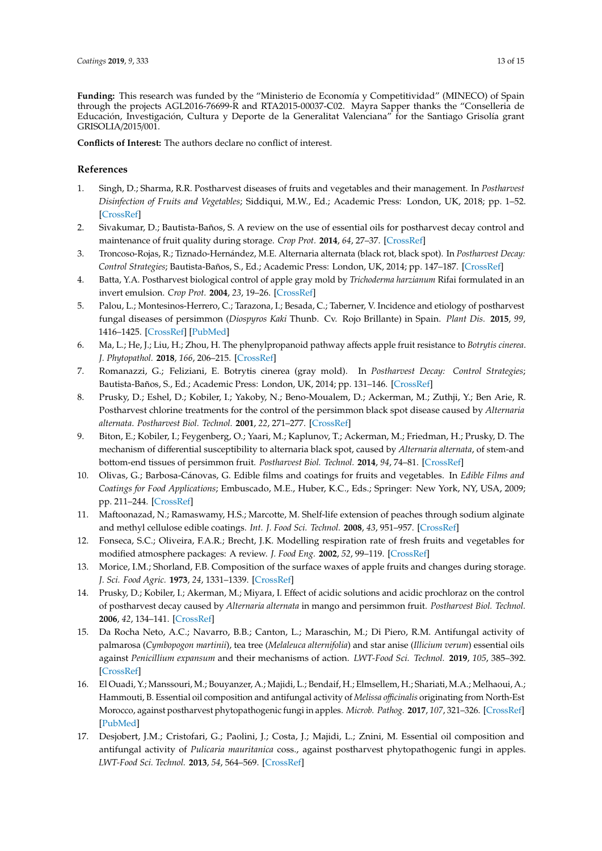**Funding:** This research was funded by the "Ministerio de Economía y Competitividad" (MINECO) of Spain through the projects AGL2016-76699-R and RTA2015-00037-C02. Mayra Sapper thanks the "Conselleria de Educación, Investigación, Cultura y Deporte de la Generalitat Valenciana" for the Santiago Grisolía grant GRISOLIA/2015/001.

**Conflicts of Interest:** The authors declare no conflict of interest.

# **References**

- <span id="page-12-0"></span>1. Singh, D.; Sharma, R.R. Postharvest diseases of fruits and vegetables and their management. In *Postharvest Disinfection of Fruits and Vegetables*; Siddiqui, M.W., Ed.; Academic Press: London, UK, 2018; pp. 1–52. [\[CrossRef\]](http://dx.doi.org/10.1016/b978-0-12-812698-1.00001-7)
- <span id="page-12-1"></span>2. Sivakumar, D.; Bautista-Baños, S. A review on the use of essential oils for postharvest decay control and maintenance of fruit quality during storage. *Crop Prot.* **2014**, *64*, 27–37. [\[CrossRef\]](http://dx.doi.org/10.1016/j.cropro.2014.05.012)
- <span id="page-12-2"></span>3. Troncoso-Rojas, R.; Tiznado-Hernández, M.E. Alternaria alternata (black rot, black spot). In *Postharvest Decay: Control Strategies*; Bautista-Baños, S., Ed.; Academic Press: London, UK, 2014; pp. 147–187. [\[CrossRef\]](http://dx.doi.org/10.1016/B978-0-12-411552-1.00005-3)
- <span id="page-12-3"></span>4. Batta, Y.A. Postharvest biological control of apple gray mold by *Trichoderma harzianum* Rifai formulated in an invert emulsion. *Crop Prot.* **2004**, *23*, 19–26. [\[CrossRef\]](http://dx.doi.org/10.1016/S0261-2194(03)00163-7)
- <span id="page-12-4"></span>5. Palou, L.; Montesinos-Herrero, C.; Tarazona, I.; Besada, C.; Taberner, V. Incidence and etiology of postharvest fungal diseases of persimmon (*Diospyros Kaki* Thunb. Cv. Rojo Brillante) in Spain. *Plant Dis.* **2015**, *99*, 1416–1425. [\[CrossRef\]](http://dx.doi.org/10.1094/PDIS-01-15-0112-RE) [\[PubMed\]](http://www.ncbi.nlm.nih.gov/pubmed/30690995)
- <span id="page-12-5"></span>6. Ma, L.; He, J.; Liu, H.; Zhou, H. The phenylpropanoid pathway affects apple fruit resistance to *Botrytis cinerea*. *J. Phytopathol.* **2018**, *166*, 206–215. [\[CrossRef\]](http://dx.doi.org/10.1111/jph.12677)
- <span id="page-12-6"></span>7. Romanazzi, G.; Feliziani, E. Botrytis cinerea (gray mold). In *Postharvest Decay: Control Strategies*; Bautista-Baños, S., Ed.; Academic Press: London, UK, 2014; pp. 131–146. [\[CrossRef\]](http://dx.doi.org/10.1016/B978-0-12-411552-1.00004-1)
- <span id="page-12-7"></span>8. Prusky, D.; Eshel, D.; Kobiler, I.; Yakoby, N.; Beno-Moualem, D.; Ackerman, M.; Zuthji, Y.; Ben Arie, R. Postharvest chlorine treatments for the control of the persimmon black spot disease caused by *Alternaria alternata*. *Postharvest Biol. Technol.* **2001**, *22*, 271–277. [\[CrossRef\]](http://dx.doi.org/10.1016/S0925-5214(01)00084-9)
- <span id="page-12-8"></span>9. Biton, E.; Kobiler, I.; Feygenberg, O.; Yaari, M.; Kaplunov, T.; Ackerman, M.; Friedman, H.; Prusky, D. The mechanism of differential susceptibility to alternaria black spot, caused by *Alternaria alternata*, of stem-and bottom-end tissues of persimmon fruit. *Postharvest Biol. Technol.* **2014**, *94*, 74–81. [\[CrossRef\]](http://dx.doi.org/10.1016/j.postharvbio.2014.03.008)
- <span id="page-12-9"></span>10. Olivas, G.; Barbosa-Cánovas, G. Edible films and coatings for fruits and vegetables. In *Edible Films and Coatings for Food Applications*; Embuscado, M.E., Huber, K.C., Eds.; Springer: New York, NY, USA, 2009; pp. 211–244. [\[CrossRef\]](http://dx.doi.org/10.1007/978-0-387-92824-1)
- <span id="page-12-10"></span>11. Maftoonazad, N.; Ramaswamy, H.S.; Marcotte, M. Shelf-life extension of peaches through sodium alginate and methyl cellulose edible coatings. *Int. J. Food Sci. Technol.* **2008**, *43*, 951–957. [\[CrossRef\]](http://dx.doi.org/10.1111/j.1365-2621.2006.01444.x)
- <span id="page-12-11"></span>12. Fonseca, S.C.; Oliveira, F.A.R.; Brecht, J.K. Modelling respiration rate of fresh fruits and vegetables for modified atmosphere packages: A review. *J. Food Eng.* **2002**, *52*, 99–119. [\[CrossRef\]](http://dx.doi.org/10.1016/S0260-8774(01)00106-6)
- <span id="page-12-12"></span>13. Morice, I.M.; Shorland, F.B. Composition of the surface waxes of apple fruits and changes during storage. *J. Sci. Food Agric.* **1973**, *24*, 1331–1339. [\[CrossRef\]](http://dx.doi.org/10.1002/jsfa.2740241104)
- <span id="page-12-13"></span>14. Prusky, D.; Kobiler, I.; Akerman, M.; Miyara, I. Effect of acidic solutions and acidic prochloraz on the control of postharvest decay caused by *Alternaria alternata* in mango and persimmon fruit. *Postharvest Biol. Technol.* **2006**, *42*, 134–141. [\[CrossRef\]](http://dx.doi.org/10.1016/j.postharvbio.2006.06.001)
- <span id="page-12-14"></span>15. Da Rocha Neto, A.C.; Navarro, B.B.; Canton, L.; Maraschin, M.; Di Piero, R.M. Antifungal activity of palmarosa (*Cymbopogon martinii*), tea tree (*Melaleuca alternifolia*) and star anise (*Illicium verum*) essential oils against *Penicillium expansum* and their mechanisms of action. *LWT-Food Sci. Technol.* **2019**, *105*, 385–392. [\[CrossRef\]](http://dx.doi.org/10.1016/j.lwt.2019.02.060)
- <span id="page-12-15"></span>16. El Ouadi, Y.; Manssouri, M.; Bouyanzer, A.; Majidi, L.; Bendaif, H.; Elmsellem, H.; Shariati, M.A.; Melhaoui, A.; Hammouti, B. Essential oil composition and antifungal activity of *Melissa o*ffi*cinalis* originating from North-Est Morocco, against postharvest phytopathogenic fungi in apples. *Microb. Pathog.* **2017**, *107*, 321–326. [\[CrossRef\]](http://dx.doi.org/10.1016/j.micpath.2017.04.004) [\[PubMed\]](http://www.ncbi.nlm.nih.gov/pubmed/28389346)
- <span id="page-12-16"></span>17. Desjobert, J.M.; Cristofari, G.; Paolini, J.; Costa, J.; Majidi, L.; Znini, M. Essential oil composition and antifungal activity of *Pulicaria mauritanica* coss., against postharvest phytopathogenic fungi in apples. *LWT-Food Sci. Technol.* **2013**, *54*, 564–569. [\[CrossRef\]](http://dx.doi.org/10.1016/j.lwt.2013.05.030)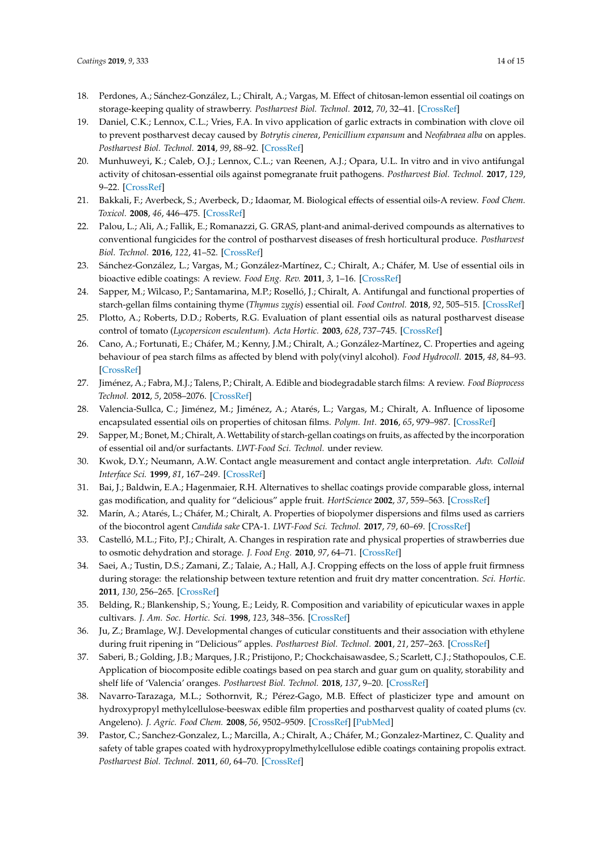- <span id="page-13-0"></span>18. Perdones, A.; Sánchez-González, L.; Chiralt, A.; Vargas, M. Effect of chitosan-lemon essential oil coatings on storage-keeping quality of strawberry. *Postharvest Biol. Technol.* **2012**, *70*, 32–41. [\[CrossRef\]](http://dx.doi.org/10.1016/j.postharvbio.2012.04.002)
- <span id="page-13-1"></span>19. Daniel, C.K.; Lennox, C.L.; Vries, F.A. In vivo application of garlic extracts in combination with clove oil to prevent postharvest decay caused by *Botrytis cinerea*, *Penicillium expansum* and *Neofabraea alba* on apples. *Postharvest Biol. Technol.* **2014**, *99*, 88–92. [\[CrossRef\]](http://dx.doi.org/10.1016/j.postharvbio.2014.08.006)
- <span id="page-13-2"></span>20. Munhuweyi, K.; Caleb, O.J.; Lennox, C.L.; van Reenen, A.J.; Opara, U.L. In vitro and in vivo antifungal activity of chitosan-essential oils against pomegranate fruit pathogens. *Postharvest Biol. Technol.* **2017**, *129*, 9–22. [\[CrossRef\]](http://dx.doi.org/10.1016/j.postharvbio.2017.03.002)
- <span id="page-13-3"></span>21. Bakkali, F.; Averbeck, S.; Averbeck, D.; Idaomar, M. Biological effects of essential oils-A review. *Food Chem. Toxicol.* **2008**, *46*, 446–475. [\[CrossRef\]](http://dx.doi.org/10.1016/j.fct.2007.09.106)
- <span id="page-13-4"></span>22. Palou, L.; Ali, A.; Fallik, E.; Romanazzi, G. GRAS, plant-and animal-derived compounds as alternatives to conventional fungicides for the control of postharvest diseases of fresh horticultural produce. *Postharvest Biol. Technol.* **2016**, *122*, 41–52. [\[CrossRef\]](http://dx.doi.org/10.1016/j.postharvbio.2016.04.017)
- <span id="page-13-5"></span>23. Sánchez-González, L.; Vargas, M.; González-Martínez, C.; Chiralt, A.; Cháfer, M. Use of essential oils in bioactive edible coatings: A review. *Food Eng. Rev.* **2011**, *3*, 1–16. [\[CrossRef\]](http://dx.doi.org/10.1007/s12393-010-9031-3)
- <span id="page-13-6"></span>24. Sapper, M.; Wilcaso, P.; Santamarina, M.P.; Roselló, J.; Chiralt, A. Antifungal and functional properties of starch-gellan films containing thyme (*Thymus zygis*) essential oil. *Food Control.* **2018**, *92*, 505–515. [\[CrossRef\]](http://dx.doi.org/10.1016/j.foodcont.2018.05.004)
- <span id="page-13-7"></span>25. Plotto, A.; Roberts, D.D.; Roberts, R.G. Evaluation of plant essential oils as natural postharvest disease control of tomato (*Lycopersicon esculentum*). *Acta Hortic.* **2003**, *628*, 737–745. [\[CrossRef\]](http://dx.doi.org/10.17660/ActaHortic.2003.628.93)
- <span id="page-13-8"></span>26. Cano, A.; Fortunati, E.; Cháfer, M.; Kenny, J.M.; Chiralt, A.; González-Martínez, C. Properties and ageing behaviour of pea starch films as affected by blend with poly(vinyl alcohol). *Food Hydrocoll.* **2015**, *48*, 84–93. [\[CrossRef\]](http://dx.doi.org/10.1016/j.foodhyd.2015.01.008)
- <span id="page-13-9"></span>27. Jiménez, A.; Fabra, M.J.; Talens, P.; Chiralt, A. Edible and biodegradable starch films: A review. *Food Bioprocess Technol.* **2012**, *5*, 2058–2076. [\[CrossRef\]](http://dx.doi.org/10.1007/s11947-012-0835-4)
- <span id="page-13-10"></span>28. Valencia-Sullca, C.; Jiménez, M.; Jiménez, A.; Atarés, L.; Vargas, M.; Chiralt, A. Influence of liposome encapsulated essential oils on properties of chitosan films. *Polym. Int.* **2016**, *65*, 979–987. [\[CrossRef\]](http://dx.doi.org/10.1002/pi.5143)
- <span id="page-13-11"></span>29. Sapper, M.; Bonet, M.; Chiralt, A. Wettability of starch-gellan coatings on fruits, as affected by the incorporation of essential oil and/or surfactants. *LWT-Food Sci. Technol.* under review.
- <span id="page-13-12"></span>30. Kwok, D.Y.; Neumann, A.W. Contact angle measurement and contact angle interpretation. *Adv. Colloid Interface Sci.* **1999**, *81*, 167–249. [\[CrossRef\]](http://dx.doi.org/10.1016/S0001-8686(98)00087-6)
- <span id="page-13-13"></span>31. Bai, J.; Baldwin, E.A.; Hagenmaier, R.H. Alternatives to shellac coatings provide comparable gloss, internal gas modification, and quality for "delicious" apple fruit. *HortScience* **2002**, *37*, 559–563. [\[CrossRef\]](http://dx.doi.org/10.21273/HORTSCI.37.3.559)
- <span id="page-13-14"></span>32. Marín, A.; Atarés, L.; Cháfer, M.; Chiralt, A. Properties of biopolymer dispersions and films used as carriers of the biocontrol agent *Candida sake* CPA-1. *LWT-Food Sci. Technol.* **2017**, *79*, 60–69. [\[CrossRef\]](http://dx.doi.org/10.1016/j.lwt.2017.01.024)
- <span id="page-13-15"></span>33. Castelló, M.L.; Fito, P.J.; Chiralt, A. Changes in respiration rate and physical properties of strawberries due to osmotic dehydration and storage. *J. Food Eng.* **2010**, *97*, 64–71. [\[CrossRef\]](http://dx.doi.org/10.1016/j.jfoodeng.2009.09.016)
- <span id="page-13-16"></span>34. Saei, A.; Tustin, D.S.; Zamani, Z.; Talaie, A.; Hall, A.J. Cropping effects on the loss of apple fruit firmness during storage: the relationship between texture retention and fruit dry matter concentration. *Sci. Hortic.* **2011**, *130*, 256–265. [\[CrossRef\]](http://dx.doi.org/10.1016/j.scienta.2011.07.008)
- <span id="page-13-17"></span>35. Belding, R.; Blankenship, S.; Young, E.; Leidy, R. Composition and variability of epicuticular waxes in apple cultivars. *J. Am. Soc. Hortic. Sci.* **1998**, *123*, 348–356. [\[CrossRef\]](http://dx.doi.org/10.21273/JASHS.123.3.348)
- <span id="page-13-18"></span>36. Ju, Z.; Bramlage, W.J. Developmental changes of cuticular constituents and their association with ethylene during fruit ripening in "Delicious" apples. *Postharvest Biol. Technol.* **2001**, *21*, 257–263. [\[CrossRef\]](http://dx.doi.org/10.1016/S0925-5214(00)00156-3)
- <span id="page-13-19"></span>37. Saberi, B.; Golding, J.B.; Marques, J.R.; Pristijono, P.; Chockchaisawasdee, S.; Scarlett, C.J.; Stathopoulos, C.E. Application of biocomposite edible coatings based on pea starch and guar gum on quality, storability and shelf life of 'Valencia' oranges. *Postharvest Biol. Technol.* **2018**, *137*, 9–20. [\[CrossRef\]](http://dx.doi.org/10.1016/j.postharvbio.2017.11.003)
- <span id="page-13-20"></span>38. Navarro-Tarazaga, M.L.; Sothornvit, R.; Pérez-Gago, M.B. Effect of plasticizer type and amount on hydroxypropyl methylcellulose-beeswax edible film properties and postharvest quality of coated plums (cv. Angeleno). *J. Agric. Food Chem.* **2008**, *56*, 9502–9509. [\[CrossRef\]](http://dx.doi.org/10.1021/jf801708k) [\[PubMed\]](http://www.ncbi.nlm.nih.gov/pubmed/18823125)
- <span id="page-13-21"></span>39. Pastor, C.; Sanchez-Gonzalez, L.; Marcilla, A.; Chiralt, A.; Cháfer, M.; Gonzalez-Martinez, C. Quality and safety of table grapes coated with hydroxypropylmethylcellulose edible coatings containing propolis extract. *Postharvest Biol. Technol.* **2011**, *60*, 64–70. [\[CrossRef\]](http://dx.doi.org/10.1016/j.postharvbio.2010.11.003)